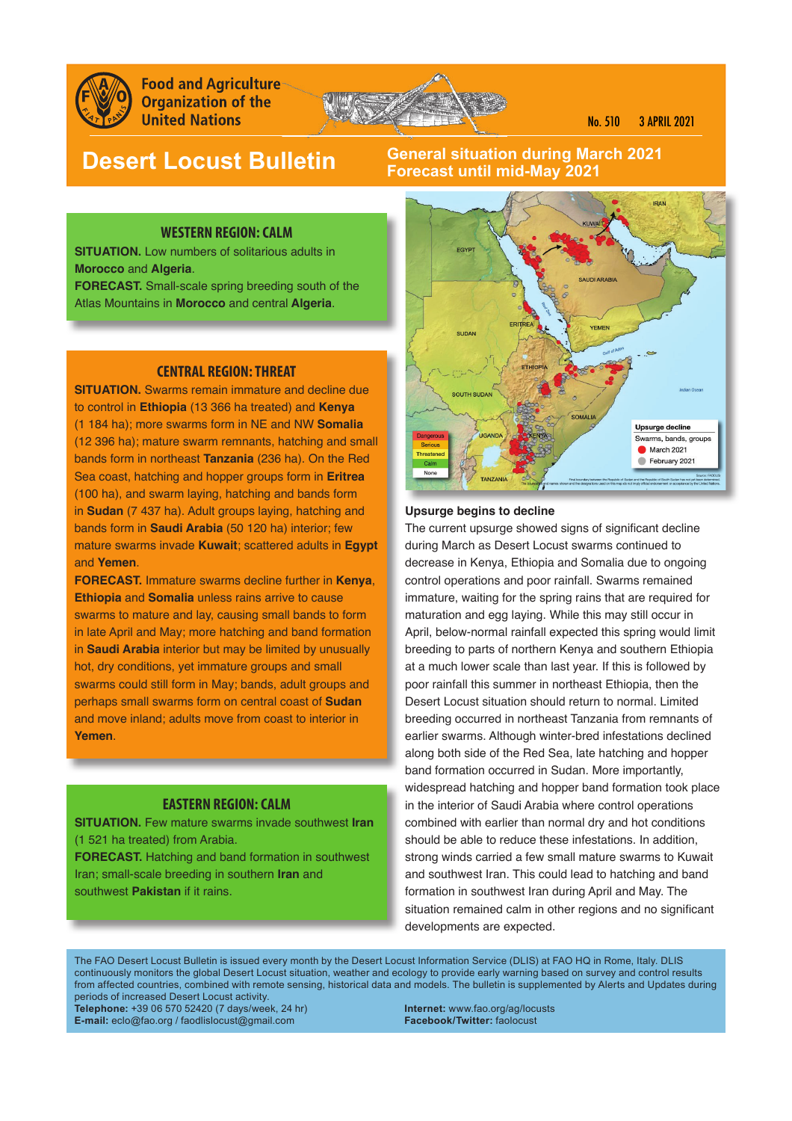

**Food and Agriculture Organization of the United Nations** 



No. 510 3 APRIL 2021

# **Desert Locust Bulletin**

### **General situation during March 2021 Forecast until mid-May 2021**

#### **WESTERN REGION: CALM**

**SITUATION.** Low numbers of solitarious adults in **Morocco** and **Algeria**. **FORECAST.** Small-scale spring breeding south of the Atlas Mountains in **Morocco** and central **Algeria**.

#### **CENTRAL REGION: THREAT**

**SITUATION.** Swarms remain immature and decline due to control in **Ethiopia** (13 366 ha treated) and **Kenya** (1 184 ha); more swarms form in NE and NW **Somalia** (12 396 ha); mature swarm remnants, hatching and small bands form in northeast **Tanzania** (236 ha). On the Red Sea coast, hatching and hopper groups form in **Eritrea** (100 ha), and swarm laying, hatching and bands form in **Sudan** (7 437 ha). Adult groups laying, hatching and bands form in **Saudi Arabia** (50 120 ha) interior; few mature swarms invade **Kuwait**; scattered adults in **Egypt** and **Yemen**.

**FORECAST.** Immature swarms decline further in **Kenya**, **Ethiopia** and **Somalia** unless rains arrive to cause swarms to mature and lay, causing small bands to form in late April and May; more hatching and band formation in **Saudi Arabia** interior but may be limited by unusually hot, dry conditions, yet immature groups and small swarms could still form in May; bands, adult groups and perhaps small swarms form on central coast of **Sudan** and move inland; adults move from coast to interior in **Yemen**.

#### **EASTERN REGION: CALM**

**SITUATION.** Few mature swarms invade southwest **Iran** (1 521 ha treated) from Arabia. **FORECAST.** Hatching and band formation in southwest Iran; small-scale breeding in southern **Iran** and southwest **Pakistan** if it rains.



#### **Upsurge begins to decline**

The current upsurge showed signs of significant decline during March as Desert Locust swarms continued to decrease in Kenya, Ethiopia and Somalia due to ongoing control operations and poor rainfall. Swarms remained immature, waiting for the spring rains that are required for maturation and egg laying. While this may still occur in April, below-normal rainfall expected this spring would limit breeding to parts of northern Kenya and southern Ethiopia at a much lower scale than last year. If this is followed by poor rainfall this summer in northeast Ethiopia, then the Desert Locust situation should return to normal. Limited breeding occurred in northeast Tanzania from remnants of earlier swarms. Although winter-bred infestations declined along both side of the Red Sea, late hatching and hopper band formation occurred in Sudan. More importantly, widespread hatching and hopper band formation took place in the interior of Saudi Arabia where control operations combined with earlier than normal dry and hot conditions should be able to reduce these infestations. In addition, strong winds carried a few small mature swarms to Kuwait and southwest Iran. This could lead to hatching and band formation in southwest Iran during April and May. The situation remained calm in other regions and no significant developments are expected.

The FAO Desert Locust Bulletin is issued every month by the Desert Locust Information Service (DLIS) at FAO HQ in Rome, Italy. DLIS continuously monitors the global Desert Locust situation, weather and ecology to provide early warning based on survey and control results from affected countries, combined with remote sensing, historical data and models. The bulletin is supplemented by Alerts and Updates during periods of increased Desert Locust activity.

**Telephone:** +39 06 570 52420 (7 days/week, 24 hr) **Internet:** www.fao.org/ag/locusts **E-mail:** eclo@fao.org / faodlislocust@gmail.com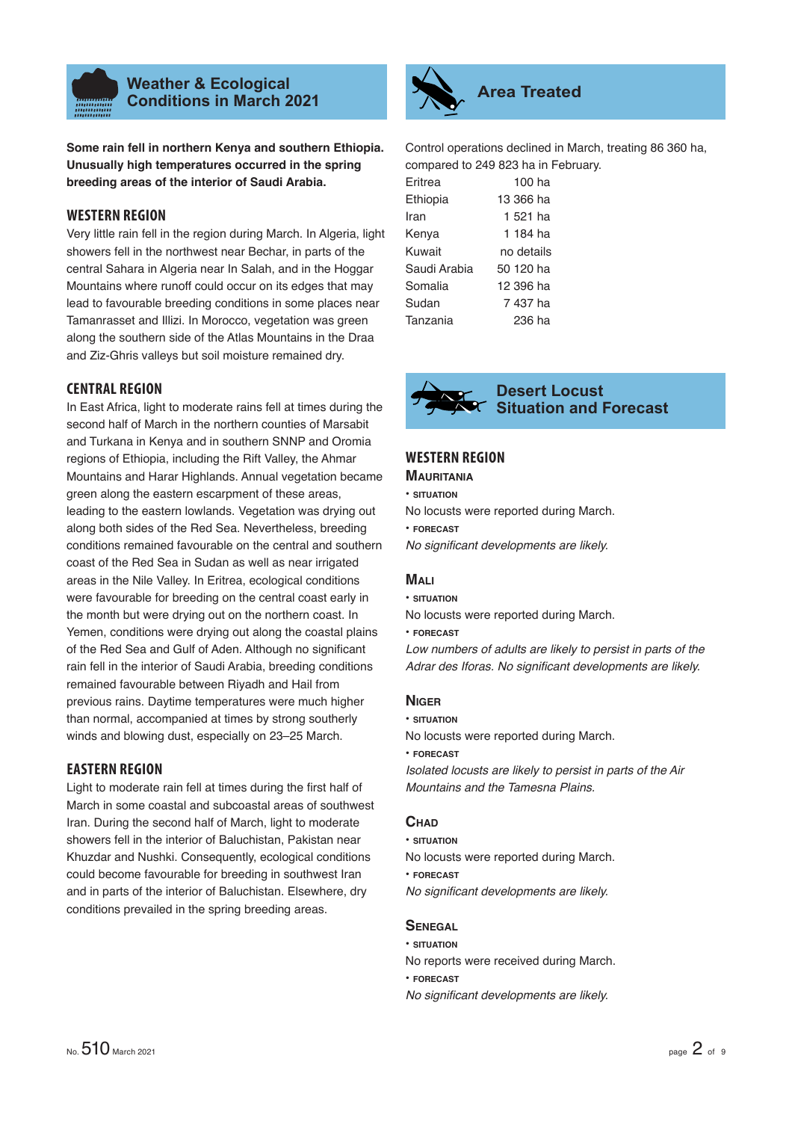

### **Weather & Ecological Conditions in March 2021 Area Treated**

**Some rain fell in northern Kenya and southern Ethiopia. Unusually high temperatures occurred in the spring breeding areas of the interior of Saudi Arabia.** 

### **WESTERN REGION**

Very little rain fell in the region during March. In Algeria, light showers fell in the northwest near Bechar, in parts of the central Sahara in Algeria near In Salah, and in the Hoggar Mountains where runoff could occur on its edges that may lead to favourable breeding conditions in some places near Tamanrasset and Illizi. In Morocco, vegetation was green along the southern side of the Atlas Mountains in the Draa and Ziz-Ghris valleys but soil moisture remained dry.

#### **CENTRAL REGION**

In East Africa, light to moderate rains fell at times during the second half of March in the northern counties of Marsabit and Turkana in Kenya and in southern SNNP and Oromia regions of Ethiopia, including the Rift Valley, the Ahmar Mountains and Harar Highlands. Annual vegetation became green along the eastern escarpment of these areas, leading to the eastern lowlands. Vegetation was drying out along both sides of the Red Sea. Nevertheless, breeding conditions remained favourable on the central and southern coast of the Red Sea in Sudan as well as near irrigated areas in the Nile Valley. In Eritrea, ecological conditions were favourable for breeding on the central coast early in the month but were drying out on the northern coast. In Yemen, conditions were drying out along the coastal plains of the Red Sea and Gulf of Aden. Although no significant rain fell in the interior of Saudi Arabia, breeding conditions remained favourable between Riyadh and Hail from previous rains. Daytime temperatures were much higher than normal, accompanied at times by strong southerly winds and blowing dust, especially on 23–25 March.

#### **EASTERN REGION**

Light to moderate rain fell at times during the first half of March in some coastal and subcoastal areas of southwest Iran. During the second half of March, light to moderate showers fell in the interior of Baluchistan, Pakistan near Khuzdar and Nushki. Consequently, ecological conditions could become favourable for breeding in southwest Iran and in parts of the interior of Baluchistan. Elsewhere, dry conditions prevailed in the spring breeding areas.



Control operations declined in March, treating 86 360 ha, compared to 249 823 ha in February.

| Eritrea      | $100$ ha   |
|--------------|------------|
| Ethiopia     | 13 366 ha  |
| Iran         | 1 521 ha   |
| Kenya        | 1 184 ha   |
| Kuwait       | no details |
| Saudi Arabia | 50 120 ha  |
| Somalia      | 12 396 ha  |
| Sudan        | 7 437 ha   |
| Tanzania     | 236 ha     |



#### **Desert Locust Situation and Forecast**

### **WESTERN REGION**

- **MAURITANIA**
- **SITUATION**
- No locusts were reported during March.
- **FORECAST**

*No significant developments are likely.* 

#### **MALI**

**• SITUATION**

No locusts were reported during March.

#### **• FORECAST**

*Low numbers of adults are likely to persist in parts of the*  Adrar des Iforas. No significant developments are likely.

### **NIGER**

**• SITUATION**

No locusts were reported during March.

**• FORECAST**

*Isolated locusts are likely to persist in parts of the Air Mountains and the Tamesna Plains.*

#### **CHAD**

- **SITUATION**
- No locusts were reported during March.
- **FORECAST**
- **No significant developments are likely.**

#### **SENEGAL**

- **SITUATION**
- No reports were received during March.
- **FORECAST**
- **No significant developments are likely.**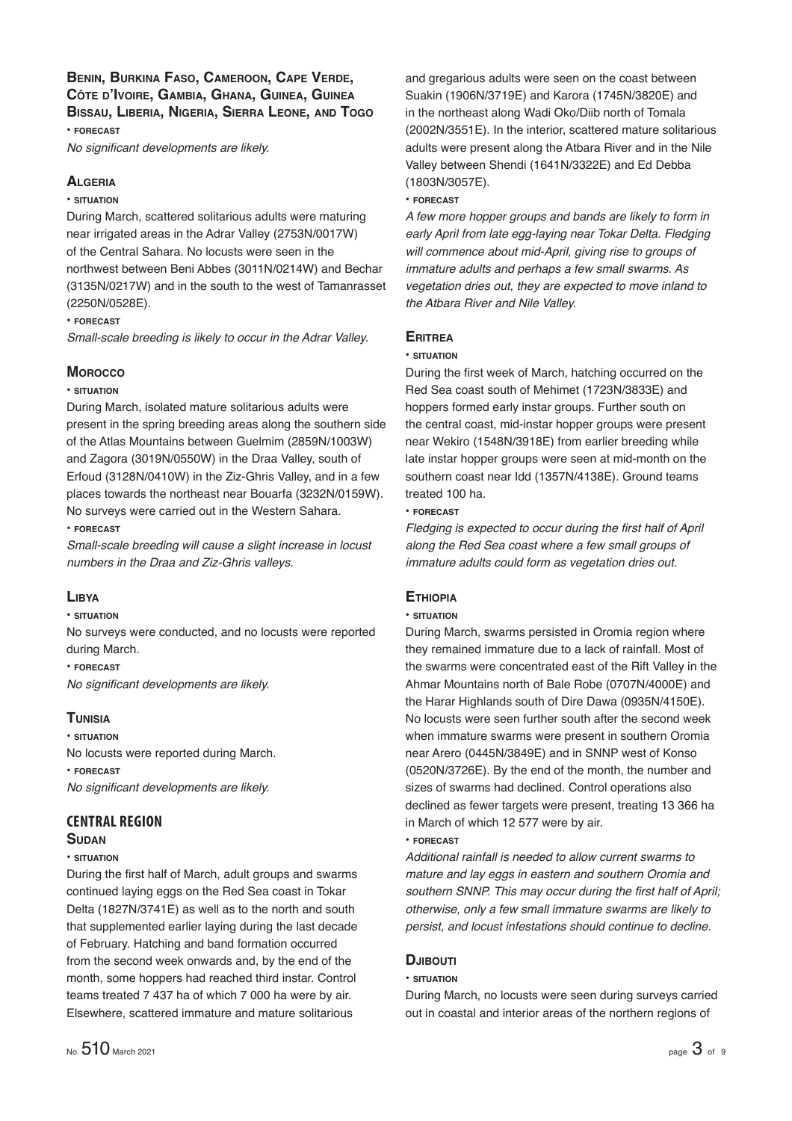### **BENIN, BURKINA FASO, CAMEROON, CAPE VERDE, CÔTE D'IVOIRE, GAMBIA, GHANA, GUINEA, GUINEA BISSAU, LIBERIA, NIGERIA, SIERRA LEONE, AND TOGO**

**• FORECAST**

*No significant developments are likely.* 

### **ALGERIA**

### **• SITUATION**

During March, scattered solitarious adults were maturing near irrigated areas in the Adrar Valley (2753N/0017W) of the Central Sahara. No locusts were seen in the northwest between Beni Abbes (3011N/0214W) and Bechar (3135N/0217W) and in the south to the west of Tamanrasset ( 2250N/0528E).

#### **• FORECAST**

*Small-scale breeding is likely to occur in the Adrar Valley.*

### **MOROCCO**

#### **• SITUATION**

During March, isolated mature solitarious adults were present in the spring breeding areas along the southern side of the Atlas Mountains between Guelmim (2859N/1003W) and Zagora (3019N/0550W) in the Draa Valley, south of Erfoud (3128N/0410W) in the Ziz-Ghris Valley, and in a few places towards the northeast near Bouarfa (3232N/0159W). No surveys were carried out in the Western Sahara.

**• FORECAST**

*Small-scale breeding will cause a slight increase in locust numbers in the Draa and Ziz-Ghris valleys.*

### **LIBYA**

#### **• SITUATION**

No surveys were conducted, and no locusts were reported during March.

**• FORECAST**

*No significant developments are likely.* 

#### **TUNISIA**

**• SITUATION** No locusts were reported during March. **• FORECAST** *No significant developments are likely.* 

### **CENTRAL REGION**

#### **SUDAN**

#### **• SITUATION**

During the first half of March, adult groups and swarms continued laying eggs on the Red Sea coast in Tokar Delta (1827N/3741E) as well as to the north and south that supplemented earlier laying during the last decade of February. Hatching and band formation occurred from the second week onwards and, by the end of the month, some hoppers had reached third instar. Control teams treated 7 437 ha of which 7 000 ha were by air. Elsewhere, scattered immature and mature solitarious

and gregarious adults were seen on the coast between Suakin (1906N/3719E) and Karora (1745N/3820E) and in the northeast along Wadi Oko/Diib north of Tomala (2002N/3551E). In the interior, scattered mature solitarious adults were present along the Atbara River and in the Nile Valley between Shendi (1641N/3322E) and Ed Debba (1803N/3057E).

**• FORECAST**

*A few more hopper groups and bands are likely to form in early April from late egg-laying near Tokar Delta. Fledging will commence about mid-April, giving rise to groups of immature adults and perhaps a few small swarms. As vegetation dries out, they are expected to move inland to the Atbara River and Nile Valley.*

### **ERITREA**

#### **• SITUATION**

During the first week of March, hatching occurred on the Red Sea coast south of Mehimet (1723N/3833E) and hoppers formed early instar groups. Further south on the central coast, mid-instar hopper groups were present near Wekiro (1548N/3918E) from earlier breeding while late instar hopper groups were seen at mid-month on the southern coast near Idd (1357N/4138E). Ground teams treated 100 ha.

#### **• FORECAST**

Fledging is expected to occur during the first half of April *along the Red Sea coast where a few small groups of immature adults could form as vegetation dries out.*

### **ETHIOPIA**

#### **• SITUATION**

During March, swarms persisted in Oromia region where they remained immature due to a lack of rainfall. Most of the swarms were concentrated east of the Rift Valley in the Ahmar Mountains north of Bale Robe (0707N/4000E) and the Harar Highlands south of Dire Dawa (0935N/4150E). No locusts were seen further south after the second week when immature swarms were present in southern Oromia near Arero (0445N/3849E) and in SNNP west of Konso (0520N/3726E). By the end of the month, the number and sizes of swarms had declined. Control operations also declined as fewer targets were present, treating 13 366 ha in March of which 12 577 were by air.

#### **• FORECAST**

*Additional rainfall is needed to allow current swarms to mature and lay eggs in eastern and southern Oromia and*  southern SNNP. This may occur during the first half of April; *otherwise, only a few small immature swarms are likely to persist, and locust infestations should continue to decline.*

### **DJIBOUTI**

#### **• SITUATION**

During March, no locusts were seen during surveys carried out in coastal and interior areas of the northern regions of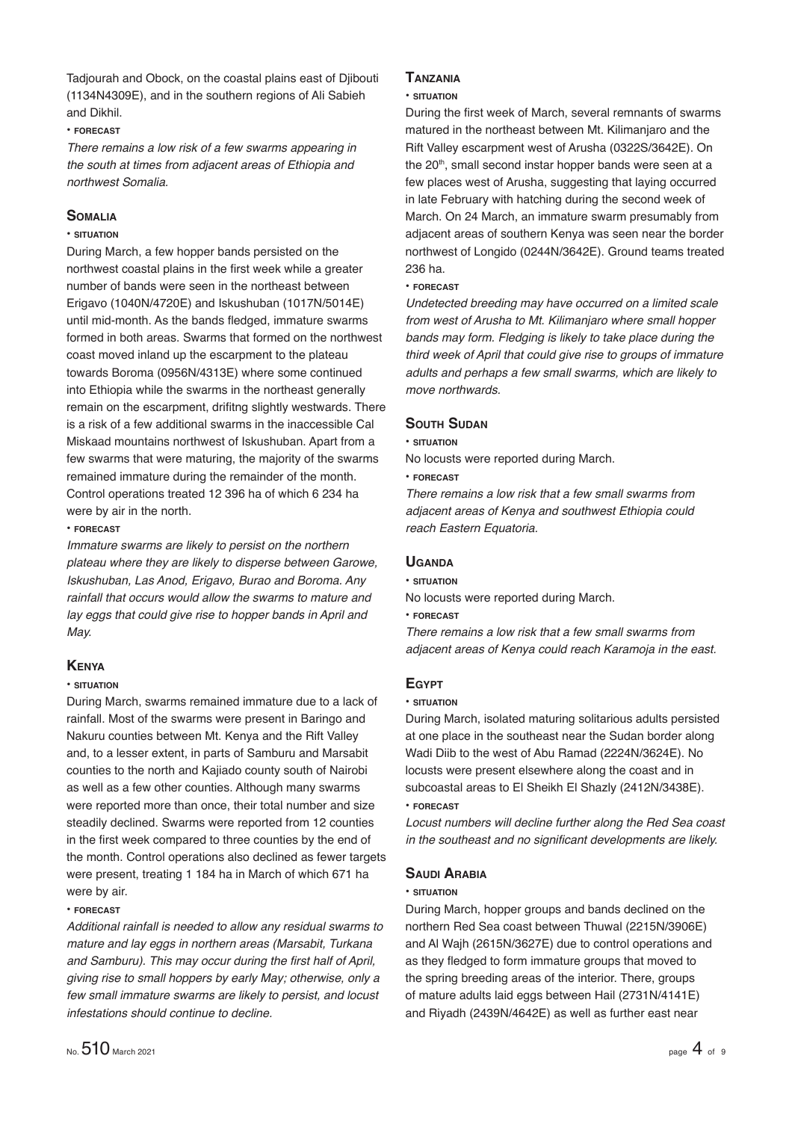Tadjourah and Obock, on the coastal plains east of Djibouti (1134N4309E), and in the southern regions of Ali Sabieh and Dikhil.

#### **• FORECAST**

*There remains a low risk of a few swarms appearing in the south at times from adjacent areas of Ethiopia and northwest Somalia.* 

#### **SOMALIA**

#### **• SITUATION**

During March, a few hopper bands persisted on the northwest coastal plains in the first week while a greater number of bands were seen in the northeast between Erigavo (1040N/4720E) and Iskushuban (1017N/5014E) until mid-month. As the bands fledged, immature swarms formed in both areas. Swarms that formed on the northwest coast moved inland up the escarpment to the plateau towards Boroma (0956N/4313E) where some continued into Ethiopia while the swarms in the northeast generally remain on the escarpment, drifitng slightly westwards. There is a risk of a few additional swarms in the inaccessible Cal Miskaad mountains northwest of Iskushuban. Apart from a few swarms that were maturing, the majority of the swarms remained immature during the remainder of the month. Control operations treated 12 396 ha of which 6 234 ha were by air in the north.

**• FORECAST**

*Immature swarms are likely to persist on the northern plateau where they are likely to disperse between Garowe, Iskushuban, Las Anod, Erigavo, Burao and Boroma. Any rainfall that occurs would allow the swarms to mature and lay eggs that could give rise to hopper bands in April and May.* 

#### **KENYA**

#### **• SITUATION**

During March, swarms remained immature due to a lack of rainfall. Most of the swarms were present in Baringo and Nakuru counties between Mt. Kenya and the Rift Valley and, to a lesser extent, in parts of Samburu and Marsabit counties to the north and Kajiado county south of Nairobi as well as a few other counties. Although many swarms were reported more than once, their total number and size steadily declined. Swarms were reported from 12 counties in the first week compared to three counties by the end of the month. Control operations also declined as fewer targets were present, treating 1 184 ha in March of which 671 ha were by air.

#### **• FORECAST**

*Additional rainfall is needed to allow any residual swarms to mature and lay eggs in northern areas (Marsabit, Turkana*  and Samburu). This may occur during the first half of April, *giving rise to small hoppers by early May; otherwise, only a few small immature swarms are likely to persist, and locust infestations should continue to decline.*

#### **TANZANIA**

#### **• SITUATION**

During the first week of March, several remnants of swarms matured in the northeast between Mt. Kilimanjaro and the Rift Valley escarpment west of Arusha (0322S/3642E). On the 20<sup>th</sup>, small second instar hopper bands were seen at a few places west of Arusha, suggesting that laying occurred in late February with hatching during the second week of March. On 24 March, an immature swarm presumably from adjacent areas of southern Kenya was seen near the border northwest of Longido (0244N/3642E). Ground teams treated 236 ha.

#### **• FORECAST**

*Undetected breeding may have occurred on a limited scale from west of Arusha to Mt. Kilimanjaro where small hopper bands may form. Fledging is likely to take place during the third week of April that could give rise to groups of immature adults and perhaps a few small swarms, which are likely to move northwards.*

#### **SOUTH SUDAN**

**• SITUATION**

No locusts were reported during March.

#### **• FORECAST**

*There remains a low risk that a few small swarms from adjacent areas of Kenya and southwest Ethiopia could reach Eastern Equatoria.*

#### **UGANDA**

**• SITUATION**

No locusts were reported during March.

**• FORECAST**

*There remains a low risk that a few small swarms from adjacent areas of Kenya could reach Karamoja in the east.*

### **EGYPT**

#### **• SITUATION**

During March, isolated maturing solitarious adults persisted at one place in the southeast near the Sudan border along Wadi Diib to the west of Abu Ramad (2224N/3624E). No locusts were present elsewhere along the coast and in subcoastal areas to El Sheikh El Shazly (2412N/3438E). **• FORECAST**

*Locust numbers will decline further along the Red Sea coast*  in the southeast and no significant developments are likely.

#### **SAUDI ARABIA**

#### **• SITUATION**

During March, hopper groups and bands declined on the northern Red Sea coast between Thuwal (2215N/3906E) and Al Wajh (2615N/3627E) due to control operations and as they fledged to form immature groups that moved to the spring breeding areas of the interior. There, groups of mature adults laid eggs between Hail (2731N/4141E) and Riyadh (2439N/4642E) as well as further east near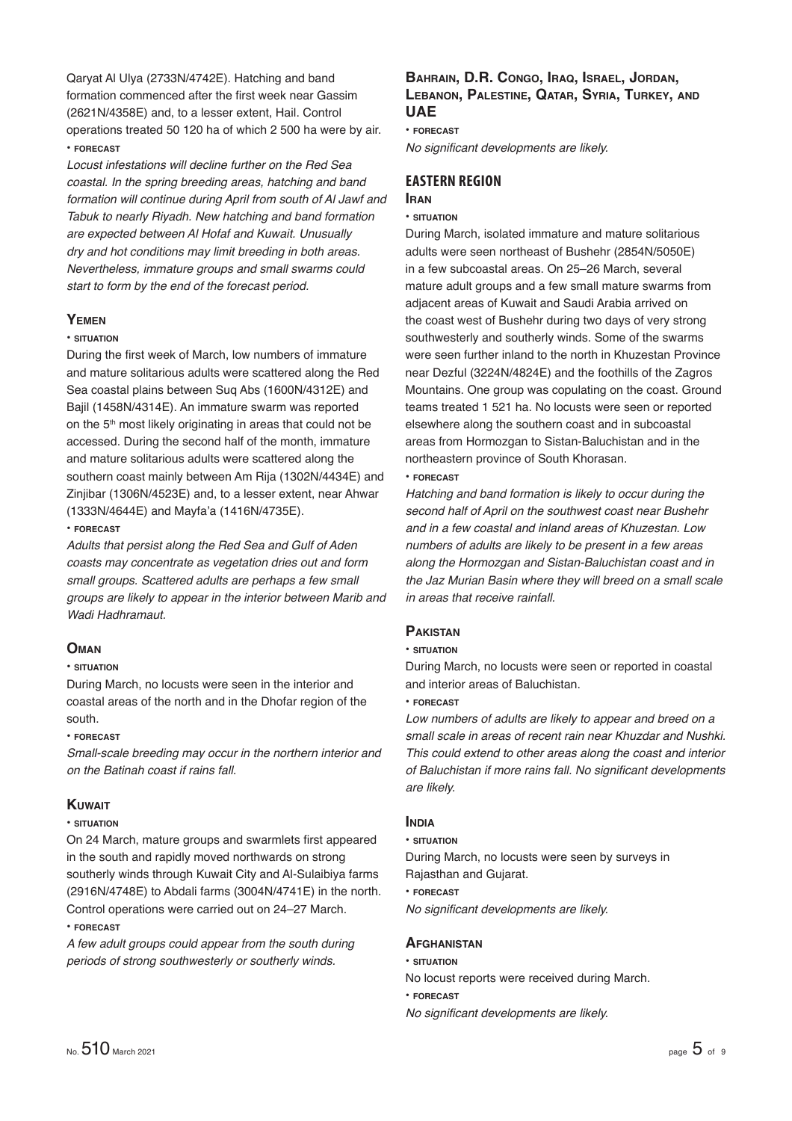Qaryat Al Ulya (2733N/4742E). Hatching and band formation commenced after the first week near Gassim (2621N/4358E) and, to a lesser extent, Hail. Control operations treated 50 120 ha of which 2 500 ha were by air. **• FORECAST**

*Locust infestations will decline further on the Red Sea coastal. In the spring breeding areas, hatching and band formation will continue during April from south of Al Jawf and Tabuk to nearly Riyadh. New hatching and band formation are expected between Al Hofaf and Kuwait. Unusually dry and hot conditions may limit breeding in both areas. Nevertheless, immature groups and small swarms could start to form by the end of the forecast period.*

### **YEMEN**

#### **• SITUATION**

During the first week of March, low numbers of immature and mature solitarious adults were scattered along the Red Sea coastal plains between Suq Abs (1600N/4312E) and Bajil (1458N/4314E). An immature swarm was reported on the 5<sup>th</sup> most likely originating in areas that could not be accessed. During the second half of the month, immature and mature solitarious adults were scattered along the southern coast mainly between Am Rija (1302N/4434E) and Zinjibar (1306N/4523E) and, to a lesser extent, near Ahwar (1333N/4644E) and Mayfa'a (1416N/4735E).

**• FORECAST**

*Adults that persist along the Red Sea and Gulf of Aden coasts may concentrate as vegetation dries out and form small groups. Scattered adults are perhaps a few small groups are likely to appear in the interior between Marib and Wadi Hadhramaut.*

#### **OMAN**

### **• SITUATION**

During March, no locusts were seen in the interior and coastal areas of the north and in the Dhofar region of the south.

#### **• FORECAST**

*Small-scale breeding may occur in the northern interior and on the Batinah coast if rains fall.* 

#### **KUWAIT**

#### **• SITUATION**

On 24 March, mature groups and swarmlets first appeared in the south and rapidly moved northwards on strong southerly winds through Kuwait City and Al-Sulaibiya farms (2916N/4748E) to Abdali farms (3004N/4741E) in the north. Control operations were carried out on 24–27 March. **• FORECAST**

*A few adult groups could appear from the south during periods of strong southwesterly or southerly winds.*

### **BAHRAIN, D.R. CONGO, IRAQ, ISRAEL, JORDAN, LEBANON, PALESTINE, QATAR, SYRIA, TURKEY, AND UAE**

#### **• FORECAST**

*No significant developments are likely.* 

#### **EASTERN REGION IRAN**

#### **• SITUATION**

During March, isolated immature and mature solitarious adults were seen northeast of Bushehr (2854N/5050E) in a few subcoastal areas. On 25–26 March, several mature adult groups and a few small mature swarms from adjacent areas of Kuwait and Saudi Arabia arrived on the coast west of Bushehr during two days of very strong southwesterly and southerly winds. Some of the swarms were seen further inland to the north in Khuzestan Province near Dezful (3224N/4824E) and the foothills of the Zagros Mountains. One group was copulating on the coast. Ground teams treated 1 521 ha. No locusts were seen or reported elsewhere along the southern coast and in subcoastal areas from Hormozgan to Sistan-Baluchistan and in the northeastern province of South Khorasan.

**• FORECAST**

*Hatching and band formation is likely to occur during the second half of April on the southwest coast near Bushehr and in a few coastal and inland areas of Khuzestan. Low numbers of adults are likely to be present in a few areas along the Hormozgan and Sistan-Baluchistan coast and in the Jaz Murian Basin where they will breed on a small scale in areas that receive rainfall.* 

### **PAKISTAN**

#### **• SITUATION**

During March, no locusts were seen or reported in coastal and interior areas of Baluchistan.

**• FORECAST**

*Low numbers of adults are likely to appear and breed on a small scale in areas of recent rain near Khuzdar and Nushki. This could extend to other areas along the coast and interior of Baluchistan if more rains fall. No signifi cant developments are likely.*

#### **INDIA**

#### **• SITUATION**

During March, no locusts were seen by surveys in Rajasthan and Gujarat.

#### **• FORECAST**

*No significant developments are likely.* 

#### **AFGHANISTAN**

- **SITUATION**
- No locust reports were received during March.
- **FORECAST**
- *No significant developments are likely.*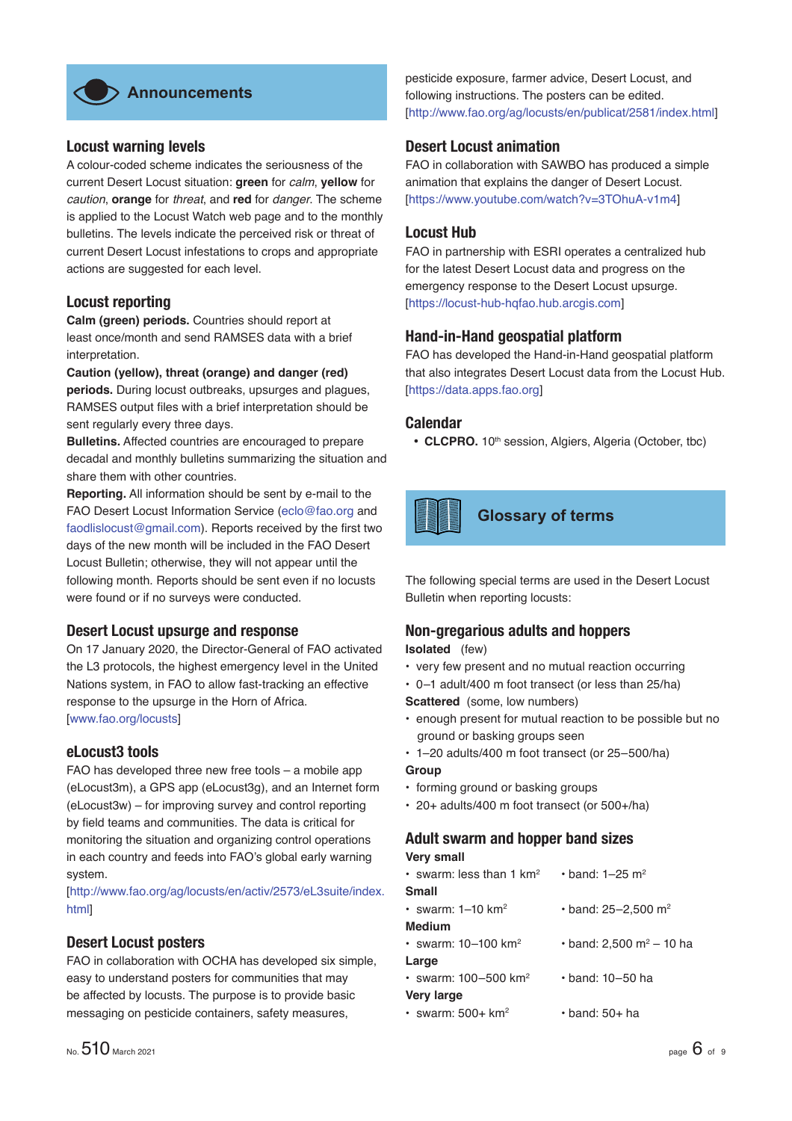

### **Locust warning levels**

A colour-coded scheme indicates the seriousness of the current Desert Locust situation: **green** for *calm*, **yellow** for *caution*, **orange** for *threat*, and **red** for *danger*. The scheme is applied to the Locust Watch web page and to the monthly bulletins. The levels indicate the perceived risk or threat of current Desert Locust infestations to crops and appropriate actions are suggested for each level.

### **Locust reporting**

**Calm (green) periods.** Countries should report at least once/month and send RAMSES data with a brief interpretation.

**Caution (yellow), threat (orange) and danger (red) periods.** During locust outbreaks, upsurges and plagues, RAMSES output files with a brief interpretation should be sent regularly every three days.

**Bulletins.** Affected countries are encouraged to prepare decadal and monthly bulletins summarizing the situation and share them with other countries.

**Reporting.** All information should be sent by e-mail to the FAO Desert Locust Information Service (eclo@fao.org and faodlislocust@gmail.com). Reports received by the first two days of the new month will be included in the FAO Desert Locust Bulletin; otherwise, they will not appear until the following month. Reports should be sent even if no locusts were found or if no surveys were conducted.

#### **Desert Locust upsurge and response**

On 17 January 2020, the Director-General of FAO activated the L3 protocols, the highest emergency level in the United Nations system, in FAO to allow fast-tracking an effective response to the upsurge in the Horn of Africa. [www.fao.org/locusts]

#### **eLocust3 tools**

FAO has developed three new free tools – a mobile app (eLocust3m), a GPS app (eLocust3g), and an Internet form (eLocust3w) – for improving survey and control reporting by field teams and communities. The data is critical for monitoring the situation and organizing control operations in each country and feeds into FAO's global early warning system.

[http://www.fao.org/ag/locusts/en/activ/2573/eL3suite/index. html]

### **Desert Locust posters**

FAO in collaboration with OCHA has developed six simple, easy to understand posters for communities that may be affected by locusts. The purpose is to provide basic messaging on pesticide containers, safety measures,

No.  $510$  March 2021  $\,$  page  $\,6\,$  of  $\,$  9  $\,$ 

pesticide exposure, farmer advice, Desert Locust, and following instructions. The posters can be edited. [http://www.fao.org/ag/locusts/en/publicat/2581/index.html]

### **Desert Locust animation**

FAO in collaboration with SAWBO has produced a simple animation that explains the danger of Desert Locust. [https://www.youtube.com/watch?v=3TOhuA-v1m4]

### **Locust Hub**

FAO in partnership with ESRI operates a centralized hub for the latest Desert Locust data and progress on the emergency response to the Desert Locust upsurge. [https://locust-hub-hqfao.hub.arcgis.com]

### **Hand-in-Hand geospatial platform**

FAO has developed the Hand-in-Hand geospatial platform that also integrates Desert Locust data from the Locust Hub. [https://data.apps.fao.org]

### **Calendar**

• CLCPRO. 10<sup>th</sup> session, Algiers, Algeria (October, tbc)



The following special terms are used in the Desert Locust Bulletin when reporting locusts:

#### **Non-gregarious adults and hoppers Isolated** (few)

- 
- very few present and no mutual reaction occurring
- 0–1 adult/400 m foot transect (or less than 25/ha)
- **Scattered** (some, low numbers)
- enough present for mutual reaction to be possible but no ground or basking groups seen
- 1–20 adults/400 m foot transect (or 25–500/ha)
- **Group**
- forming ground or basking groups
- 20+ adults/400 m foot transect (or 500+/ha)

#### **Adult swarm and hopper band sizes Very small**

| very sman                            |                                      |
|--------------------------------------|--------------------------------------|
| • swarm: less than 1 $km^2$          | • band: $1 - 25$ m <sup>2</sup>      |
| <b>Small</b>                         |                                      |
| • swarm: $1-10$ km <sup>2</sup>      | • band: 25–2,500 m <sup>2</sup>      |
| <b>Medium</b>                        |                                      |
| • swarm: $10 - 100$ km <sup>2</sup>  | • band: 2,500 m <sup>2</sup> – 10 ha |
| Large                                |                                      |
| • swarm: $100 - 500$ km <sup>2</sup> | • band: 10–50 ha                     |
| <b>Very large</b>                    |                                      |
| $\cdot$ swarm: 500+ km <sup>2</sup>  | $\cdot$ band: 50+ ha                 |
|                                      |                                      |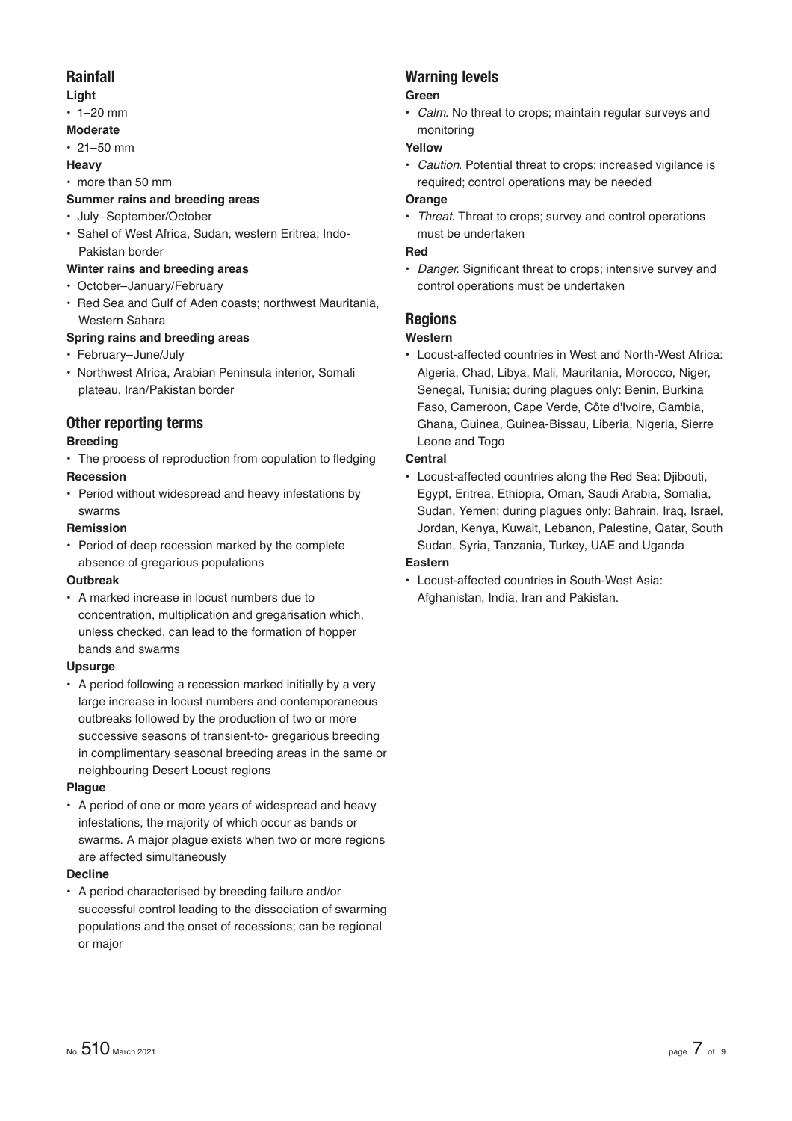### **Rainfall**

### **Light**

 $\cdot$  1–20 mm

### **Moderate**

 $\cdot$  21–50 mm

#### **Heavy**

• more than 50 mm

### **Summer rains and breeding areas**

- July–September/October
- Sahel of West Africa, Sudan, western Eritrea; Indo-Pakistan border

### **Winter rains and breeding areas**

- October–January/February
- Red Sea and Gulf of Aden coasts; northwest Mauritania, Western Sahara

### **Spring rains and breeding areas**

- February–June/July
- Northwest Africa, Arabian Peninsula interior, Somali plateau, Iran/Pakistan border

### **Other reporting terms**

### **Breeding**

- The process of reproduction from copulation to fledging **Recession**
- Period without widespread and heavy infestations by swarms

### **Remission**

• Period of deep recession marked by the complete absence of gregarious populations

#### **Outbreak**

• A marked increase in locust numbers due to concentration, multiplication and gregarisation which, unless checked, can lead to the formation of hopper bands and swarms

### **Upsurge**

• A period following a recession marked initially by a very large increase in locust numbers and contemporaneous outbreaks followed by the production of two or more successive seasons of transient-to- gregarious breeding in complimentary seasonal breeding areas in the same or neighbouring Desert Locust regions

#### **Plague**

• A period of one or more years of widespread and heavy infestations, the majority of which occur as bands or swarms. A major plague exists when two or more regions are affected simultaneously

#### **Decline**

• A period characterised by breeding failure and/or successful control leading to the dissociation of swarming populations and the onset of recessions; can be regional or major

## **Warning levels**

### **Green**

• *Calm*. No threat to crops; maintain regular surveys and monitoring

### **Yellow**

• *Caution*. Potential threat to crops; increased vigilance is required; control operations may be needed

### **Orange**

• *Threat*. Threat to crops; survey and control operations must be undertaken

### **Red**

• *Danger*. Significant threat to crops; intensive survey and control operations must be undertaken

### **Regions**

### **Western**

• Locust-affected countries in West and North-West Africa: Algeria, Chad, Libya, Mali, Mauritania, Morocco, Niger, Senegal, Tunisia; during plagues only: Benin, Burkina Faso, Cameroon, Cape Verde, Côte d'Ivoire, Gambia, Ghana, Guinea, Guinea-Bissau, Liberia, Nigeria, Sierre Leone and Togo

### **Central**

• Locust-affected countries along the Red Sea: Djibouti, Egypt, Eritrea, Ethiopia, Oman, Saudi Arabia, Somalia, Sudan, Yemen; during plagues only: Bahrain, Iraq, Israel, Jordan, Kenya, Kuwait, Lebanon, Palestine, Qatar, South Sudan, Syria, Tanzania, Turkey, UAE and Uganda **Eastern**

• Locust-affected countries in South-West Asia: Afghanistan, India, Iran and Pakistan.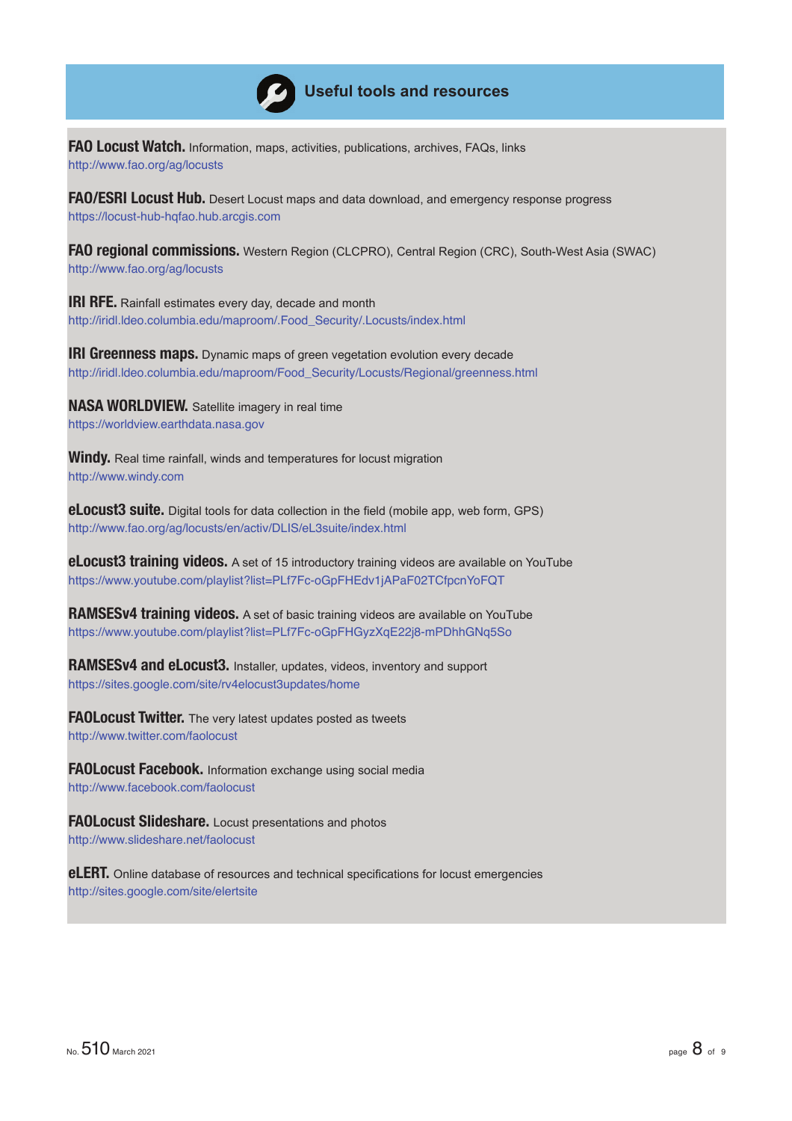

## **Useful tools and resources**

**FAO Locust Watch.** Information, maps, activities, publications, archives, FAQs, links http://www.fao.org/ag/locusts

**FAO/ESRI Locust Hub.** Desert Locust maps and data download, and emergency response progress https://locust-hub-hqfao.hub.arcgis.com

**FAO regional commissions.** Western Region (CLCPRO), Central Region (CRC), South-West Asia (SWAC) http://www.fao.org/ag/locusts

**IRI RFE.** Rainfall estimates every day, decade and month http://iridl.ldeo.columbia.edu/maproom/.Food\_Security/.Locusts/index.html

**IRI Greenness maps.** Dynamic maps of green vegetation evolution every decade http://iridl.ldeo.columbia.edu/maproom/Food\_Security/Locusts/Regional/greenness.html

**NASA WORLDVIEW.** Satellite imagery in real time https://worldview.earthdata.nasa.gov

**Windy.** Real time rainfall, winds and temperatures for locust migration http://www.windy.com

**eLocust3 suite.** Digital tools for data collection in the field (mobile app, web form, GPS) http://www.fao.org/ag/locusts/en/activ/DLIS/eL3suite/index.html

**eLocust3 training videos.** A set of 15 introductory training videos are available on YouTube https://www.youtube.com/playlist?list=PLf7Fc-oGpFHEdv1jAPaF02TCfpcnYoFQT

**RAMSESv4 training videos.** A set of basic training videos are available on YouTube https://www.youtube.com/playlist?list=PLf7Fc-oGpFHGyzXqE22j8-mPDhhGNq5So

**RAMSESv4 and eLocust3.** Installer, updates, videos, inventory and support https://sites.google.com/site/rv4elocust3updates/home

**FAOLocust Twitter.** The very latest updates posted as tweets http://www.twitter.com/faolocust

**FAOLocust Facebook.** Information exchange using social media http://www.facebook.com/faolocust

**FAOLocust Slideshare.** Locust presentations and photos http://www.slideshare.net/faolocust

**eLERT.** Online database of resources and technical specifications for locust emergencies http://sites.google.com/site/elertsite